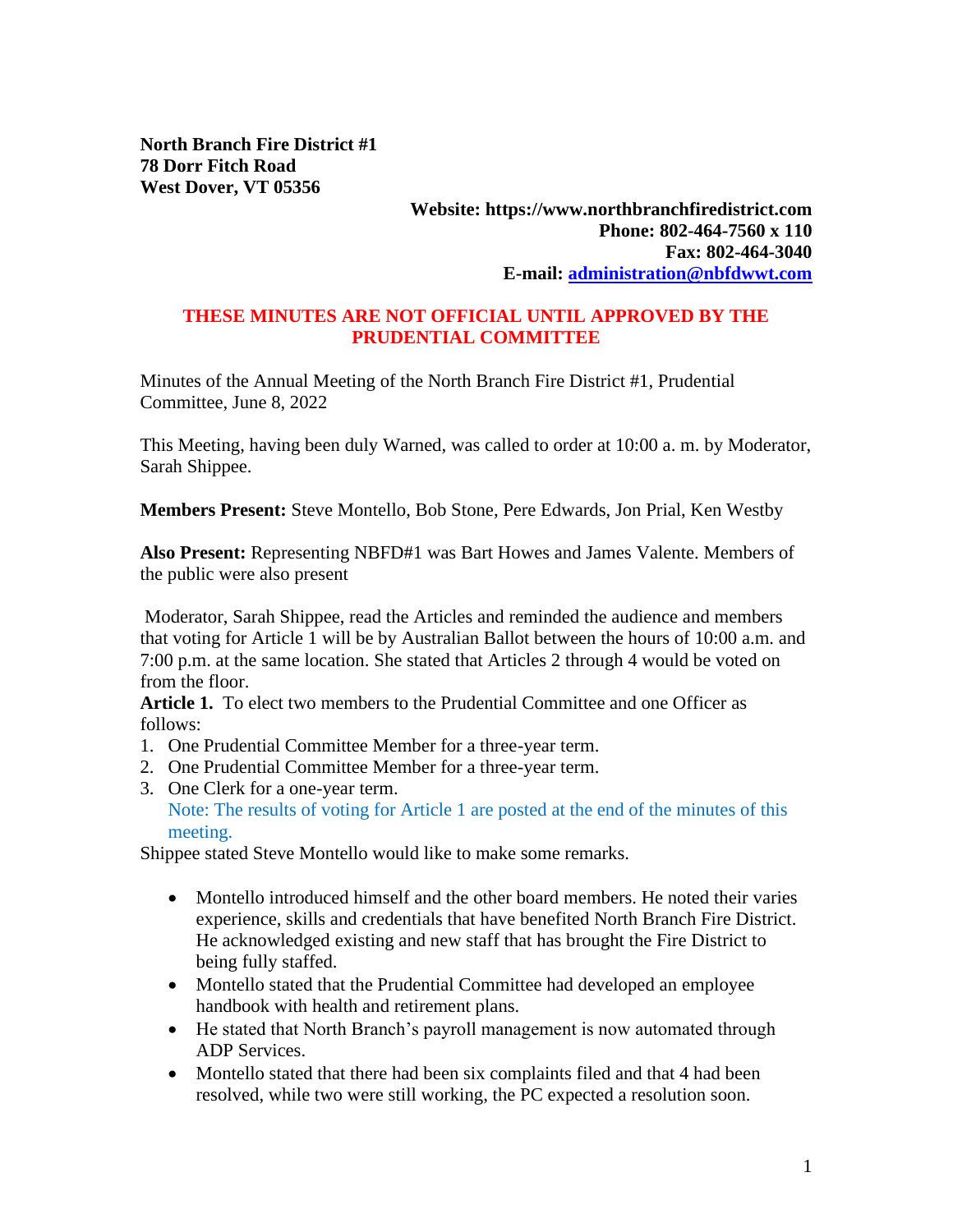**North Branch Fire District #1 78 Dorr Fitch Road West Dover, VT 05356**

## **Website: https://www.northbranchfiredistrict.com Phone: 802-464-7560 x 110 Fax: 802-464-3040 E-mail: [administration@nbfdwwt.com](mailto:administration@nbfdwwt.com)**

## **THESE MINUTES ARE NOT OFFICIAL UNTIL APPROVED BY THE PRUDENTIAL COMMITTEE**

Minutes of the Annual Meeting of the North Branch Fire District #1, Prudential Committee, June 8, 2022

This Meeting, having been duly Warned, was called to order at 10:00 a. m. by Moderator, Sarah Shippee.

**Members Present:** Steve Montello, Bob Stone, Pere Edwards, Jon Prial, Ken Westby

**Also Present:** Representing NBFD#1 was Bart Howes and James Valente. Members of the public were also present

Moderator, Sarah Shippee, read the Articles and reminded the audience and members that voting for Article 1 will be by Australian Ballot between the hours of 10:00 a.m. and 7:00 p.m. at the same location. She stated that Articles 2 through 4 would be voted on from the floor.

**Article 1.** To elect two members to the Prudential Committee and one Officer as follows:

- 1. One Prudential Committee Member for a three-year term.
- 2. One Prudential Committee Member for a three-year term.
- 3. One Clerk for a one-year term. Note: The results of voting for Article 1 are posted at the end of the minutes of this meeting.

Shippee stated Steve Montello would like to make some remarks.

- Montello introduced himself and the other board members. He noted their varies experience, skills and credentials that have benefited North Branch Fire District. He acknowledged existing and new staff that has brought the Fire District to being fully staffed.
- Montello stated that the Prudential Committee had developed an employee handbook with health and retirement plans.
- He stated that North Branch's payroll management is now automated through ADP Services.
- Montello stated that there had been six complaints filed and that 4 had been resolved, while two were still working, the PC expected a resolution soon.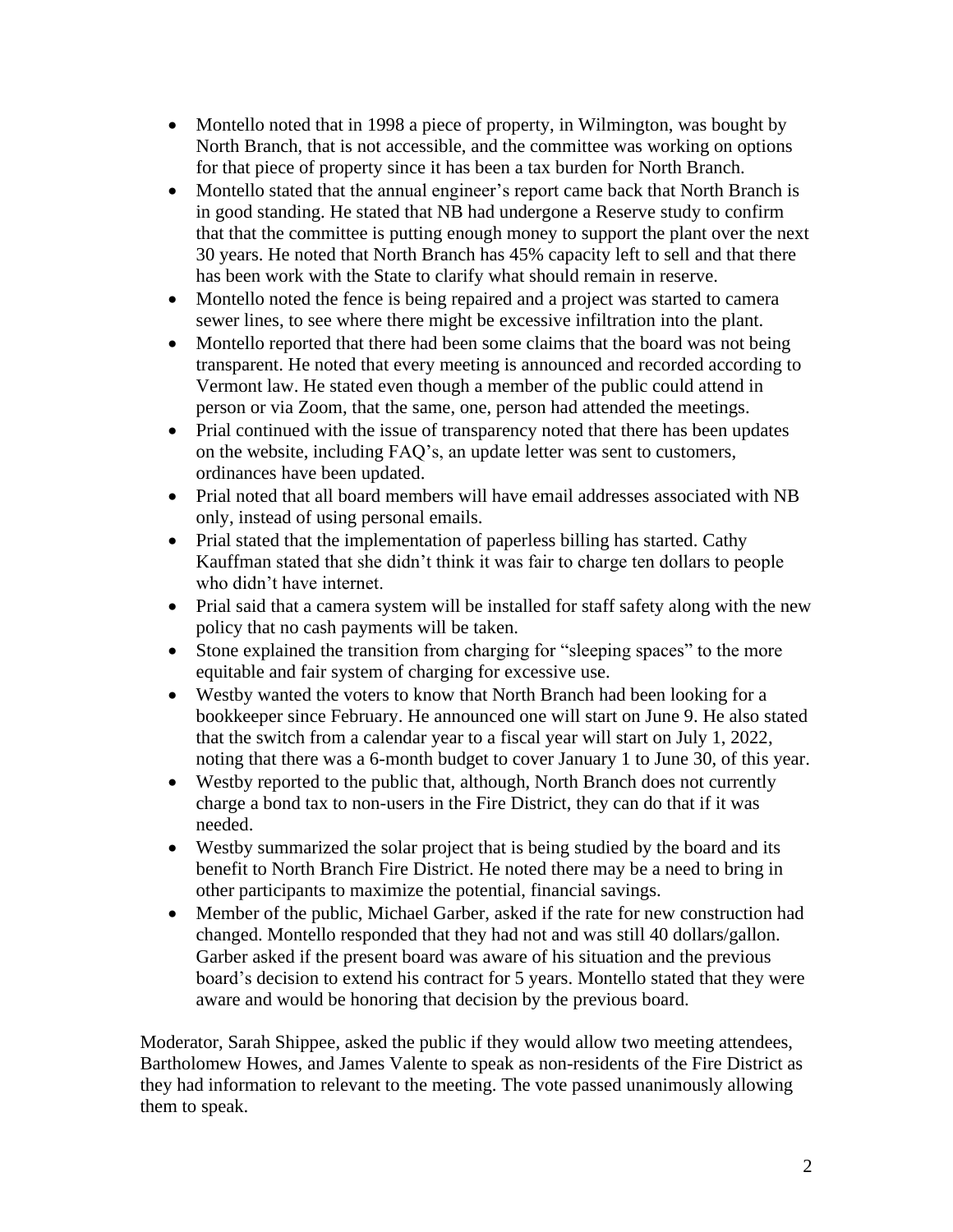- Montello noted that in 1998 a piece of property, in Wilmington, was bought by North Branch, that is not accessible, and the committee was working on options for that piece of property since it has been a tax burden for North Branch.
- Montello stated that the annual engineer's report came back that North Branch is in good standing. He stated that NB had undergone a Reserve study to confirm that that the committee is putting enough money to support the plant over the next 30 years. He noted that North Branch has 45% capacity left to sell and that there has been work with the State to clarify what should remain in reserve.
- Montello noted the fence is being repaired and a project was started to camera sewer lines, to see where there might be excessive infiltration into the plant.
- Montello reported that there had been some claims that the board was not being transparent. He noted that every meeting is announced and recorded according to Vermont law. He stated even though a member of the public could attend in person or via Zoom, that the same, one, person had attended the meetings.
- Prial continued with the issue of transparency noted that there has been updates on the website, including FAQ's, an update letter was sent to customers, ordinances have been updated.
- Prial noted that all board members will have email addresses associated with NB only, instead of using personal emails.
- Prial stated that the implementation of paperless billing has started. Cathy Kauffman stated that she didn't think it was fair to charge ten dollars to people who didn't have internet.
- Prial said that a camera system will be installed for staff safety along with the new policy that no cash payments will be taken.
- Stone explained the transition from charging for "sleeping spaces" to the more equitable and fair system of charging for excessive use.
- Westby wanted the voters to know that North Branch had been looking for a bookkeeper since February. He announced one will start on June 9. He also stated that the switch from a calendar year to a fiscal year will start on July 1, 2022, noting that there was a 6-month budget to cover January 1 to June 30, of this year.
- Westby reported to the public that, although, North Branch does not currently charge a bond tax to non-users in the Fire District, they can do that if it was needed.
- Westby summarized the solar project that is being studied by the board and its benefit to North Branch Fire District. He noted there may be a need to bring in other participants to maximize the potential, financial savings.
- Member of the public, Michael Garber, asked if the rate for new construction had changed. Montello responded that they had not and was still 40 dollars/gallon. Garber asked if the present board was aware of his situation and the previous board's decision to extend his contract for 5 years. Montello stated that they were aware and would be honoring that decision by the previous board.

Moderator, Sarah Shippee, asked the public if they would allow two meeting attendees, Bartholomew Howes, and James Valente to speak as non-residents of the Fire District as they had information to relevant to the meeting. The vote passed unanimously allowing them to speak.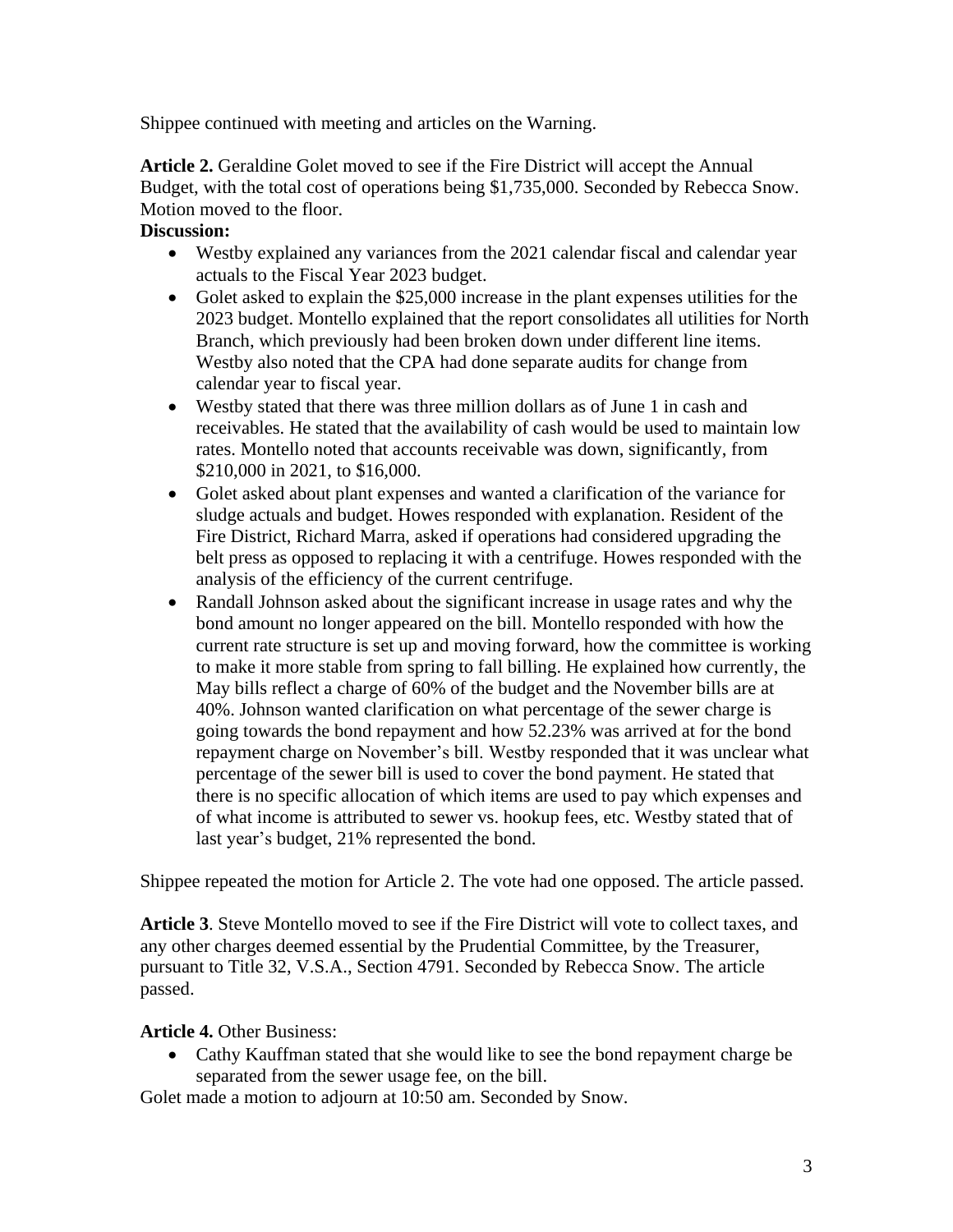Shippee continued with meeting and articles on the Warning.

**Article 2.** Geraldine Golet moved to see if the Fire District will accept the Annual Budget, with the total cost of operations being \$1,735,000. Seconded by Rebecca Snow. Motion moved to the floor.

## **Discussion:**

- Westby explained any variances from the 2021 calendar fiscal and calendar year actuals to the Fiscal Year 2023 budget.
- Golet asked to explain the \$25,000 increase in the plant expenses utilities for the 2023 budget. Montello explained that the report consolidates all utilities for North Branch, which previously had been broken down under different line items. Westby also noted that the CPA had done separate audits for change from calendar year to fiscal year.
- Westby stated that there was three million dollars as of June 1 in cash and receivables. He stated that the availability of cash would be used to maintain low rates. Montello noted that accounts receivable was down, significantly, from \$210,000 in 2021, to \$16,000.
- Golet asked about plant expenses and wanted a clarification of the variance for sludge actuals and budget. Howes responded with explanation. Resident of the Fire District, Richard Marra, asked if operations had considered upgrading the belt press as opposed to replacing it with a centrifuge. Howes responded with the analysis of the efficiency of the current centrifuge.
- Randall Johnson asked about the significant increase in usage rates and why the bond amount no longer appeared on the bill. Montello responded with how the current rate structure is set up and moving forward, how the committee is working to make it more stable from spring to fall billing. He explained how currently, the May bills reflect a charge of 60% of the budget and the November bills are at 40%. Johnson wanted clarification on what percentage of the sewer charge is going towards the bond repayment and how 52.23% was arrived at for the bond repayment charge on November's bill. Westby responded that it was unclear what percentage of the sewer bill is used to cover the bond payment. He stated that there is no specific allocation of which items are used to pay which expenses and of what income is attributed to sewer vs. hookup fees, etc. Westby stated that of last year's budget, 21% represented the bond.

Shippee repeated the motion for Article 2. The vote had one opposed. The article passed.

**Article 3**. Steve Montello moved to see if the Fire District will vote to collect taxes, and any other charges deemed essential by the Prudential Committee, by the Treasurer, pursuant to Title 32, V.S.A., Section 4791. Seconded by Rebecca Snow. The article passed.

## **Article 4.** Other Business:

• Cathy Kauffman stated that she would like to see the bond repayment charge be separated from the sewer usage fee, on the bill.

Golet made a motion to adjourn at 10:50 am. Seconded by Snow.